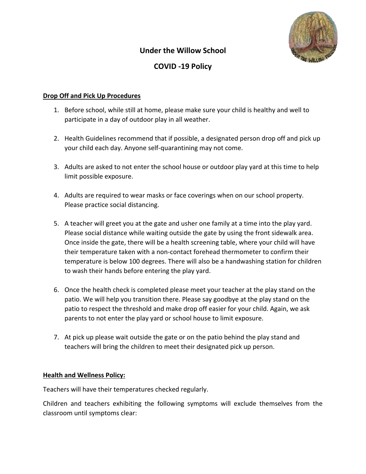# **Under the Willow School**



## **COVID -19 Policy**

#### **Drop Off and Pick Up Procedures**

- 1. Before school, while still at home, please make sure your child is healthy and well to participate in a day of outdoor play in all weather.
- 2. Health Guidelines recommend that if possible, a designated person drop off and pick up your child each day. Anyone self-quarantining may not come.
- 3. Adults are asked to not enter the school house or outdoor play yard at this time to help limit possible exposure.
- 4. Adults are required to wear masks or face coverings when on our school property. Please practice social distancing.
- 5. A teacher will greet you at the gate and usher one family at a time into the play yard. Please social distance while waiting outside the gate by using the front sidewalk area. Once inside the gate, there will be a health screening table, where your child will have their temperature taken with a non-contact forehead thermometer to confirm their temperature is below 100 degrees. There will also be a handwashing station for children to wash their hands before entering the play yard.
- 6. Once the health check is completed please meet your teacher at the play stand on the patio. We will help you transition there. Please say goodbye at the play stand on the patio to respect the threshold and make drop off easier for your child. Again, we ask parents to not enter the play yard or school house to limit exposure.
- 7. At pick up please wait outside the gate or on the patio behind the play stand and teachers will bring the children to meet their designated pick up person.

#### **Health and Wellness Policy:**

Teachers will have their temperatures checked regularly.

Children and teachers exhibiting the following symptoms will exclude themselves from the classroom until symptoms clear: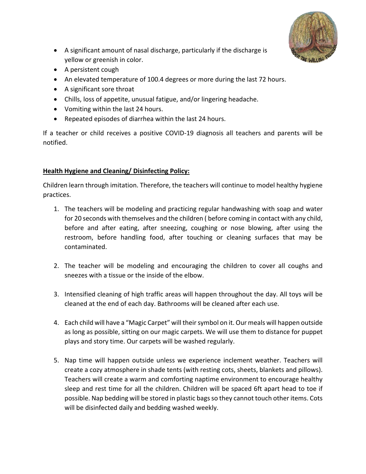

- A significant amount of nasal discharge, particularly if the discharge is yellow or greenish in color.
- A persistent cough
- An elevated temperature of 100.4 degrees or more during the last 72 hours.
- A significant sore throat
- Chills, loss of appetite, unusual fatigue, and/or lingering headache.
- Vomiting within the last 24 hours.
- Repeated episodes of diarrhea within the last 24 hours.

If a teacher or child receives a positive COVID-19 diagnosis all teachers and parents will be notified.

### **Health Hygiene and Cleaning/ Disinfecting Policy:**

Children learn through imitation. Therefore, the teachers will continue to model healthy hygiene practices.

- 1. The teachers will be modeling and practicing regular handwashing with soap and water for 20 seconds with themselves and the children ( before coming in contact with any child, before and after eating, after sneezing, coughing or nose blowing, after using the restroom, before handling food, after touching or cleaning surfaces that may be contaminated.
- 2. The teacher will be modeling and encouraging the children to cover all coughs and sneezes with a tissue or the inside of the elbow.
- 3. Intensified cleaning of high traffic areas will happen throughout the day. All toys will be cleaned at the end of each day. Bathrooms will be cleaned after each use.
- 4. Each child will have a "Magic Carpet" will theirsymbol on it. Our meals will happen outside as long as possible, sitting on our magic carpets. We will use them to distance for puppet plays and story time. Our carpets will be washed regularly.
- 5. Nap time will happen outside unless we experience inclement weather. Teachers will create a cozy atmosphere in shade tents (with resting cots, sheets, blankets and pillows). Teachers will create a warm and comforting naptime environment to encourage healthy sleep and rest time for all the children. Children will be spaced 6ft apart head to toe if possible. Nap bedding will be stored in plastic bags so they cannot touch other items. Cots will be disinfected daily and bedding washed weekly.